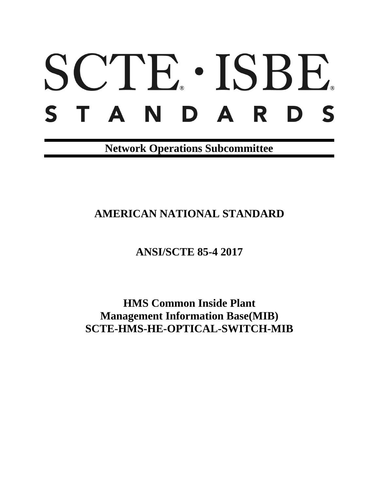# SCTE · ISBE. S T A N D A R D S

**Network Operations Subcommittee**

**AMERICAN NATIONAL STANDARD**

**ANSI/SCTE 85-4 2017**

**HMS Common Inside Plant Management Information Base(MIB) SCTE-HMS-HE-OPTICAL-SWITCH-MIB**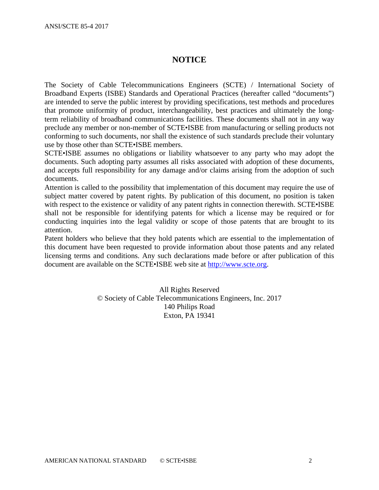# **NOTICE**

The Society of Cable Telecommunications Engineers (SCTE) / International Society of Broadband Experts (ISBE) Standards and Operational Practices (hereafter called "documents") are intended to serve the public interest by providing specifications, test methods and procedures that promote uniformity of product, interchangeability, best practices and ultimately the longterm reliability of broadband communications facilities. These documents shall not in any way preclude any member or non-member of SCTE•ISBE from manufacturing or selling products not conforming to such documents, nor shall the existence of such standards preclude their voluntary use by those other than SCTE•ISBE members.

SCTE•ISBE assumes no obligations or liability whatsoever to any party who may adopt the documents. Such adopting party assumes all risks associated with adoption of these documents, and accepts full responsibility for any damage and/or claims arising from the adoption of such documents.

Attention is called to the possibility that implementation of this document may require the use of subject matter covered by patent rights. By publication of this document, no position is taken with respect to the existence or validity of any patent rights in connection therewith. SCTE•ISBE shall not be responsible for identifying patents for which a license may be required or for conducting inquiries into the legal validity or scope of those patents that are brought to its attention.

Patent holders who believe that they hold patents which are essential to the implementation of this document have been requested to provide information about those patents and any related licensing terms and conditions. Any such declarations made before or after publication of this document are available on the SCTE•ISBE web site at [http://www.scte.org.](http://www.scte.org/)

> All Rights Reserved © Society of Cable Telecommunications Engineers, Inc. 2017 140 Philips Road Exton, PA 19341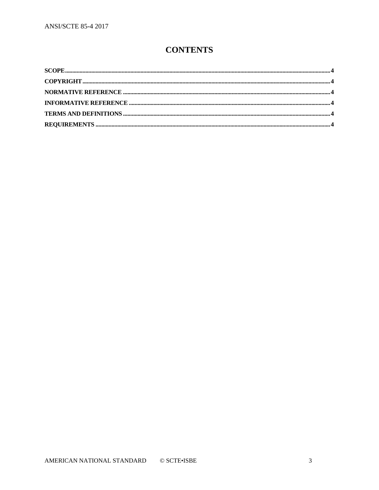# **CONTENTS**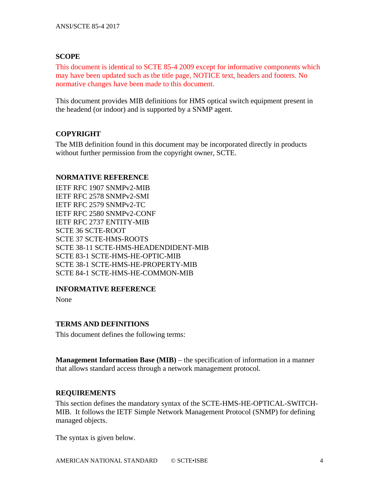# <span id="page-3-0"></span>**SCOPE**

This document is identical to SCTE 85-4 2009 except for informative components which may have been updated such as the title page, NOTICE text, headers and footers. No normative changes have been made to this document.

This document provides MIB definitions for HMS optical switch equipment present in the headend (or indoor) and is supported by a SNMP agent.

# <span id="page-3-1"></span>**COPYRIGHT**

The MIB definition found in this document may be incorporated directly in products without further permission from the copyright owner, SCTE.

### <span id="page-3-2"></span>**NORMATIVE REFERENCE**

IETF RFC 1907 SNMPv2-MIB IETF RFC 2578 SNMPv2-SMI IETF RFC 2579 SNMPv2-TC IETF RFC 2580 SNMPv2-CONF IETF RFC 2737 ENTITY-MIB SCTE 36 SCTE-ROOT SCTE 37 SCTE-HMS-ROOTS SCTE 38-11 SCTE-HMS-HEADENDIDENT-MIB SCTE 83-1 SCTE-HMS-HE-OPTIC-MIB SCTE 38-1 SCTE-HMS-HE-PROPERTY-MIB SCTE 84-1 SCTE-HMS-HE-COMMON-MIB

# <span id="page-3-3"></span>**INFORMATIVE REFERENCE**

None

# <span id="page-3-4"></span>**TERMS AND DEFINITIONS**

This document defines the following terms:

**Management Information Base (MIB)** – the specification of information in a manner that allows standard access through a network management protocol.

# <span id="page-3-5"></span>**REQUIREMENTS**

This section defines the mandatory syntax of the SCTE-HMS-HE-OPTICAL-SWITCH-MIB. It follows the IETF Simple Network Management Protocol (SNMP) for defining managed objects.

The syntax is given below.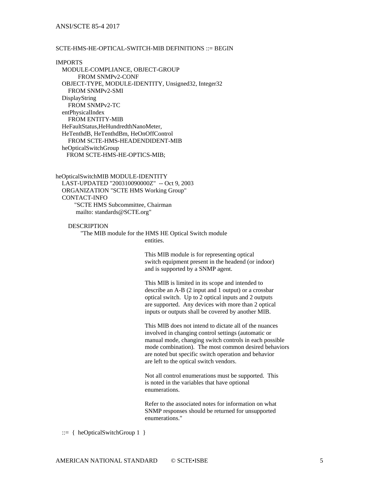### ANSI/SCTE 85-4 2017

### SCTE-HMS-HE-OPTICAL-SWITCH-MIB DEFINITIONS ::= BEGIN

### IMPORTS

 MODULE-COMPLIANCE, OBJECT-GROUP FROM SNMPv2-CONF OBJECT-TYPE, MODULE-IDENTITY, Unsigned32, Integer32 FROM SNMPv2-SMI DisplayString FROM SNMPv2-TC entPhysicalIndex FROM ENTITY-MIB HeFaultStatus,HeHundredthNanoMeter, HeTenthdB, HeTenthdBm, HeOnOffControl FROM SCTE-HMS-HEADENDIDENT-MIB heOpticalSwitchGroup FROM SCTE-HMS-HE-OPTICS-MIB;

heOpticalSwitchMIB MODULE-IDENTITY LAST-UPDATED "200310090000Z" -- Oct 9, 2003 ORGANIZATION "SCTE HMS Working Group" CONTACT-INFO "SCTE HMS Subcommittee, Chairman mailto: standards@SCTE.org"

**DESCRIPTION** 

 "The MIB module for the HMS HE Optical Switch module entities.

> This MIB module is for representing optical switch equipment present in the headend (or indoor) and is supported by a SNMP agent.

This MIB is limited in its scope and intended to describe an A-B (2 input and 1 output) or a crossbar optical switch. Up to 2 optical inputs and 2 outputs are supported. Any devices with more than 2 optical inputs or outputs shall be covered by another MIB.

This MIB does not intend to dictate all of the nuances involved in changing control settings (automatic or manual mode, changing switch controls in each possible mode combination). The most common desired behaviors are noted but specific switch operation and behavior are left to the optical switch vendors.

Not all control enumerations must be supported. This is noted in the variables that have optional enumerations.

Refer to the associated notes for information on what SNMP responses should be returned for unsupported enumerations."

 $::= \{ \text{heOpticalSwitchGroup 1} \}$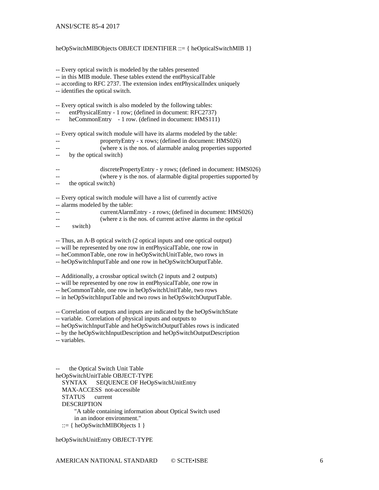### ANSI/SCTE 85-4 2017

### heOpSwitchMIBObjects OBJECT IDENTIFIER ::= { heOpticalSwitchMIB 1}

-- Every optical switch is modeled by the tables presented

-- in this MIB module. These tables extend the entPhysicalTable

-- according to RFC 2737. The extension index entPhysicalIndex uniquely

-- identifies the optical switch.

-- Every optical switch is also modeled by the following tables:

- entPhysicalEntry 1 row; (defined in document: RFC2737)
- -- heCommonEntry 1 row. (defined in document: HMS111)

-- Every optical switch module will have its alarms modeled by the table:

- -- propertyEntry x rows; (defined in document: HMS026)
- -- (where x is the nos. of alarmable analog properties supported
- -- by the optical switch)

| $- -$ | discretePropertyEntry - y rows; (defined in document: HMS026)     |
|-------|-------------------------------------------------------------------|
| $- -$ | (where y is the nos. of alarmable digital properties supported by |

the optical switch)

-- Every optical switch module will have a list of currently active

-- alarms modeled by the table:

- -- currentAlarmEntry z rows; (defined in document: HMS026) (where z is the nos. of current active alarms in the optical
- -- switch)
- 
- -- Thus, an A-B optical switch (2 optical inputs and one optical output)
- -- will be represented by one row in entPhysicalTable, one row in
- -- heCommonTable, one row in heOpSwitchUnitTable, two rows in
- -- heOpSwitchInputTable and one row in heOpSwitchOutputTable.
- -- Additionally, a crossbar optical switch (2 inputs and 2 outputs)
- -- will be represented by one row in entPhysicalTable, one row in
- -- heCommonTable, one row in heOpSwitchUnitTable, two rows
- -- in heOpSwitchInputTable and two rows in heOpSwitchOutputTable.

-- Correlation of outputs and inputs are indicated by the heOpSwitchState

- -- variable. Correlation of physical inputs and outputs to
- -- heOpSwitchInputTable and heOpSwitchOutputTables rows is indicated
- -- by the heOpSwitchInputDescription and heOpSwitchOutputDescription
- -- variables.

the Optical Switch Unit Table heOpSwitchUnitTable OBJECT-TYPE SYNTAX SEQUENCE OF HeOpSwitchUnitEntry MAX-ACCESS not-accessible STATUS current DESCRIPTION "A table containing information about Optical Switch used in an indoor environment."

::= { heOpSwitchMIBObjects 1 }

heOpSwitchUnitEntry OBJECT-TYPE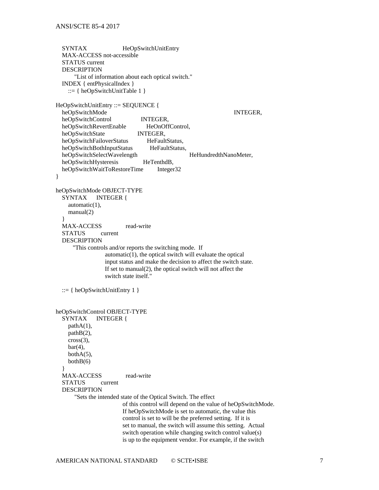SYNTAX HeOpSwitchUnitEntry MAX-ACCESS not-accessible STATUS current DESCRIPTION "List of information about each optical switch." INDEX { entPhysicalIndex }  $::= \{ \text{heOpSwitchUnitTable 1} \}$ HeOpSwitchUnitEntry ::= SEQUENCE { heOpSwitchMode INTEGER, heOpSwitchControl INTEGER, heOpSwitchRevertEnable HeOnOffControl, heOpSwitchState INTEGER,<br>heOpSwitchFailoverStatus HeFaultStatus, heOpSwitchFailoverStatus heOpSwitchBothInputStatus HeFaultStatus, heOpSwitchSelectWavelength HeHundredthNanoMeter, heOpSwitchHysteresis HeTenthdB, heOpSwitchWaitToRestoreTime Integer32 } heOpSwitchMode OBJECT-TYPE SYNTAX INTEGER { automatic(1), manual(2) } MAX-ACCESS read-write STATUS current DESCRIPTION "This controls and/or reports the switching mode. If automatic(1), the optical switch will evaluate the optical input status and make the decision to affect the switch state. If set to manual(2), the optical switch will not affect the switch state itself."  $::= \{ heOpSwitchUnitEntry 1 \}$ heOpSwitchControl OBJECT-TYPE SYNTAX INTEGER { pathA(1), pathB(2), cross(3),  $bar(4)$ , both $A(5)$ ,  $bothB(6)$  } MAX-ACCESS read-write STATUS current DESCRIPTION "Sets the intended state of the Optical Switch. The effect of this control will depend on the value of heOpSwitchMode. If heOpSwitchMode is set to automatic, the value this control is set to will be the preferred setting. If it is set to manual, the switch will assume this setting. Actual switch operation while changing switch control value(s) is up to the equipment vendor. For example, if the switch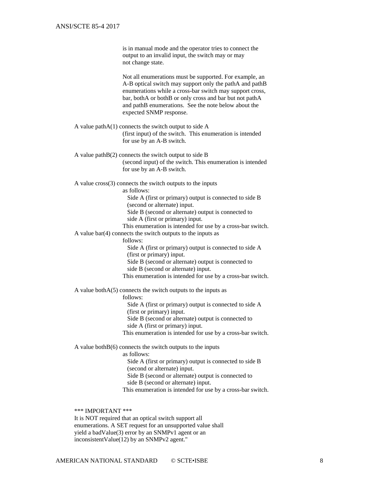is in manual mode and the operator tries to connect the output to an invalid input, the switch may or may not change state.

Not all enumerations must be supported. For example, an A-B optical switch may support only the pathA and pathB enumerations while a cross-bar switch may support cross, bar, bothA or bothB or only cross and bar but not pathA and pathB enumerations. See the note below about the expected SNMP response.

 A value pathA(1) connects the switch output to side A (first input) of the switch. This enumeration is intended for use by an A-B switch.

 A value pathB(2) connects the switch output to side B (second input) of the switch. This enumeration is intended for use by an A-B switch.

A value cross(3) connects the switch outputs to the inputs

as follows:

 Side A (first or primary) output is connected to side B (second or alternate) input.

Side B (second or alternate) output is connected to

side A (first or primary) input.

This enumeration is intended for use by a cross-bar switch. A value bar(4) connects the switch outputs to the inputs as

follows:

 Side A (first or primary) output is connected to side A (first or primary) input.

Side B (second or alternate) output is connected to

side B (second or alternate) input.

This enumeration is intended for use by a cross-bar switch.

A value bothA(5) connects the switch outputs to the inputs as

follows:

 Side A (first or primary) output is connected to side A (first or primary) input.

Side B (second or alternate) output is connected to

side A (first or primary) input.

This enumeration is intended for use by a cross-bar switch.

A value both $B(6)$  connects the switch outputs to the inputs

as follows:

 Side A (first or primary) output is connected to side B (second or alternate) input. Side B (second or alternate) output is connected to side B (second or alternate) input.

This enumeration is intended for use by a cross-bar switch.

\*\*\* IMPORTANT \*\*\*

 It is NOT required that an optical switch support all enumerations. A SET request for an unsupported value shall yield a badValue(3) error by an SNMPv1 agent or an inconsistentValue(12) by an SNMPv2 agent."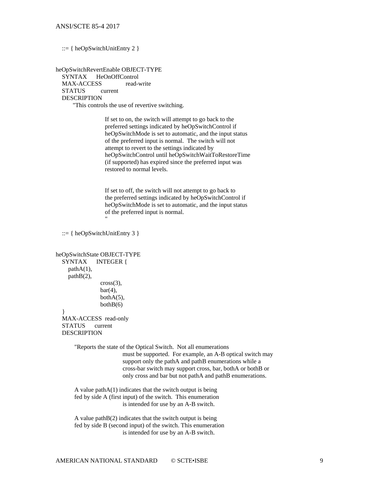::= { heOpSwitchUnitEntry 2 }

heOpSwitchRevertEnable OBJECT-TYPE SYNTAX HeOnOffControl MAX-ACCESS read-write STATUS current DESCRIPTION "This controls the use of revertive switching.

> If set to on, the switch will attempt to go back to the preferred settings indicated by heOpSwitchControl if heOpSwitchMode is set to automatic, and the input status of the preferred input is normal. The switch will not attempt to revert to the settings indicated by heOpSwitchControl until heOpSwitchWaitToRestoreTime (if supported) has expired since the preferred input was restored to normal levels.

 If set to off, the switch will not attempt to go back to the preferred settings indicated by heOpSwitchControl if heOpSwitchMode is set to automatic, and the input status of the preferred input is normal. "

```
 ::= \{ \text{heOpSwitchUnitEntry } 3 \}
```

```
heOpSwitchState OBJECT-TYPE
   SYNTAX INTEGER {
     pathA(1),
     pathB(2),
               cross(3),
               bar(4).
               bothA(5),
               bothB(6) }
```
 MAX-ACCESS read-only STATUS current DESCRIPTION

> "Reports the state of the Optical Switch. Not all enumerations must be supported. For example, an A-B optical switch may support only the pathA and pathB enumerations while a cross-bar switch may support cross, bar, bothA or bothB or only cross and bar but not pathA and pathB enumerations.

A value path $A(1)$  indicates that the switch output is being fed by side A (first input) of the switch. This enumeration is intended for use by an A-B switch.

 A value pathB(2) indicates that the switch output is being fed by side B (second input) of the switch. This enumeration is intended for use by an A-B switch.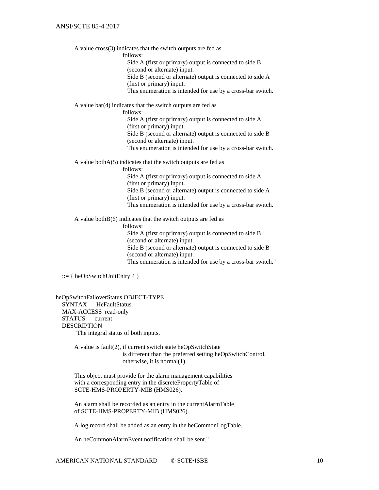A value cross(3) indicates that the switch outputs are fed as

follows:

 Side A (first or primary) output is connected to side B (second or alternate) input.

 Side B (second or alternate) output is connected to side A (first or primary) input.

This enumeration is intended for use by a cross-bar switch.

A value bar(4) indicates that the switch outputs are fed as

follows:

 Side A (first or primary) output is connected to side A (first or primary) input. Side B (second or alternate) output is connected to side B (second or alternate) input. This enumeration is intended for use by a cross-bar switch.

A value bothA(5) indicates that the switch outputs are fed as

follows:

 Side A (first or primary) output is connected to side A (first or primary) input. Side B (second or alternate) output is connected to side A (first or primary) input. This enumeration is intended for use by a cross-bar switch.

A value bothB(6) indicates that the switch outputs are fed as

follows:

 Side A (first or primary) output is connected to side B (second or alternate) input. Side B (second or alternate) output is connected to side B (second or alternate) input. This enumeration is intended for use by a cross-bar switch."

 $::= \{ \text{heOpSwitchUnitEntry 4 } \}$ 

heOpSwitchFailoverStatus OBJECT-TYPE SYNTAX HeFaultStatus MAX-ACCESS read-only STATUS current DESCRIPTION "The integral status of both inputs.

> A value is fault(2), if current switch state heOpSwitchState is different than the preferred setting heOpSwitchControl, otherwise, it is normal(1).

 This object must provide for the alarm management capabilities with a corresponding entry in the discretePropertyTable of SCTE-HMS-PROPERTY-MIB (HMS026).

 An alarm shall be recorded as an entry in the currentAlarmTable of SCTE-HMS-PROPERTY-MIB (HMS026).

A log record shall be added as an entry in the heCommonLogTable.

An heCommonAlarmEvent notification shall be sent."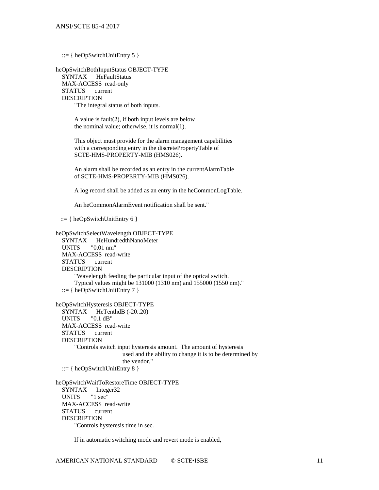::=  $\{heOpSwitchUnitEntry 5\}$ 

heOpSwitchBothInputStatus OBJECT-TYPE SYNTAX HeFaultStatus MAX-ACCESS read-only STATUS current DESCRIPTION "The integral status of both inputs.

> A value is fault(2), if both input levels are below the nominal value; otherwise, it is normal(1).

 This object must provide for the alarm management capabilities with a corresponding entry in the discretePropertyTable of SCTE-HMS-PROPERTY-MIB (HMS026).

 An alarm shall be recorded as an entry in the currentAlarmTable of SCTE-HMS-PROPERTY-MIB (HMS026).

A log record shall be added as an entry in the heCommonLogTable.

An heCommonAlarmEvent notification shall be sent."

 $::= \{ heOpSwitchUnitEntry 6 \}$ 

heOpSwitchSelectWavelength OBJECT-TYPE

 SYNTAX HeHundredthNanoMeter UNITS "0.01 nm" MAX-ACCESS read-write STATUS current DESCRIPTION "Wavelength feeding the particular input of the optical switch. Typical values might be 131000 (1310 nm) and 155000 (1550 nm)."  $::= \{ \text{heOpSwitchUnitEntry 7 } \}$ 

heOpSwitchHysteresis OBJECT-TYPE SYNTAX HeTenthdB (-20..20) UNITS "0.1 dB" MAX-ACCESS read-write STATUS current DESCRIPTION "Controls switch input hysteresis amount. The amount of hysteresis used and the ability to change it is to be determined by the vendor." ::= { heOpSwitchUnitEntry 8 }

heOpSwitchWaitToRestoreTime OBJECT-TYPE SYNTAX Integer32 UNITS "1 sec" MAX-ACCESS read-write STATUS current DESCRIPTION "Controls hysteresis time in sec.

If in automatic switching mode and revert mode is enabled,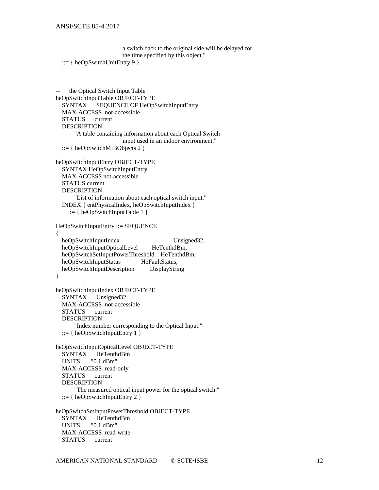```
a switch back to the original side will be delayed for 
the time specified by this object."
```

```
 ::= \{ \text{heOpSwitchUnitEntry 9 } \}
```

```
the Optical Switch Input Table
heOpSwitchInputTable OBJECT-TYPE
   SYNTAX SEQUENCE OF HeOpSwitchInputEntry
   MAX-ACCESS not-accessible
   STATUS current
   DESCRIPTION
       "A table containing information about each Optical Switch 
                       input used in an indoor environment."
  ::= { heOpSwitchMIBObjects 2 }
heOpSwitchInputEntry OBJECT-TYPE
   SYNTAX HeOpSwitchInputEntry
   MAX-ACCESS not-accessible
   STATUS current
   DESCRIPTION
       "List of information about each optical switch input."
   INDEX { entPhysicalIndex, heOpSwitchInputIndex }
    ::= \{heOpSwitchInputTable 1\}HeOpSwitchInputEntry ::= SEQUENCE
{ 
  heOpSwitchInputIndex Unsigned32,
   heOpSwitchInputOpticalLevel HeTenthdBm,
   heOpSwitchSetInputPowerThreshold HeTenthdBm, 
  heOpSwitchInputStatus HeFaultStatus,
   heOpSwitchInputDescription DisplayString
}
heOpSwitchInputIndex OBJECT-TYPE
   SYNTAX Unsigned32
   MAX-ACCESS not-accessible
   STATUS current
   DESCRIPTION
       "Index number corresponding to the Optical Input."
   ::= {heOpSwitchInputEntry 1}heOpSwitchInputOpticalLevel OBJECT-TYPE
  SYNTAX HeTenthdBm<br>UNITS "0.1 dBm"
            "0.1 dBm"
   MAX-ACCESS read-only
   STATUS current
   DESCRIPTION
       "The measured optical input power for the optical switch."
   ::= {heOpSwitchInputEntry 2 }heOpSwitchSetInputPowerThreshold OBJECT-TYPE
  SYNTAX HeTenthdBm<br>UNITS "0.1 dBm"
            "0.1 dBm"
   MAX-ACCESS read-write
   STATUS current
```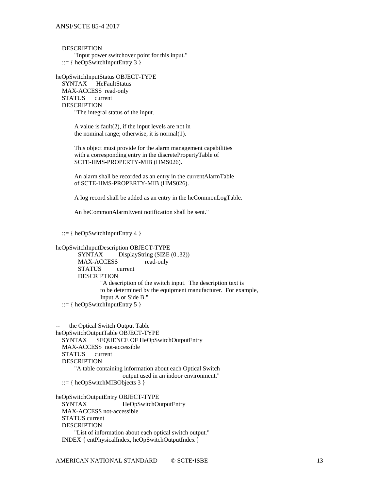**DESCRIPTION** 

 "Input power switchover point for this input." ::=  $\{heOpSwitchInputEntry\}$ 

heOpSwitchInputStatus OBJECT-TYPE SYNTAX HeFaultStatus MAX-ACCESS read-only STATUS current DESCRIPTION

"The integral status of the input.

 A value is fault(2), if the input levels are not in the nominal range; otherwise, it is normal(1).

 This object must provide for the alarm management capabilities with a corresponding entry in the discretePropertyTable of SCTE-HMS-PROPERTY-MIB (HMS026).

 An alarm shall be recorded as an entry in the currentAlarmTable of SCTE-HMS-PROPERTY-MIB (HMS026).

A log record shall be added as an entry in the heCommonLogTable.

An heCommonAlarmEvent notification shall be sent."

::=  $\{heOpSwitchInputEntry 4\}$ 

```
heOpSwitchInputDescription OBJECT-TYPE
       SYNTAX DisplayString (SIZE (0..32))
       MAX-ACCESS read-only
       STATUS current
       DESCRIPTION
               "A description of the switch input. The description text is 
               to be determined by the equipment manufacturer. For example, 
               Input A or Side B."
  ::= { heOpSwitchInputEntry 5 }
```
the Optical Switch Output Table heOpSwitchOutputTable OBJECT-TYPE SYNTAX SEQUENCE OF HeOpSwitchOutputEntry MAX-ACCESS not-accessible STATUS current DESCRIPTION "A table containing information about each Optical Switch output used in an indoor environment." ::= { heOpSwitchMIBObjects 3 }

heOpSwitchOutputEntry OBJECT-TYPE SYNTAX HeOpSwitchOutputEntry MAX-ACCESS not-accessible STATUS current DESCRIPTION "List of information about each optical switch output." INDEX { entPhysicalIndex, heOpSwitchOutputIndex }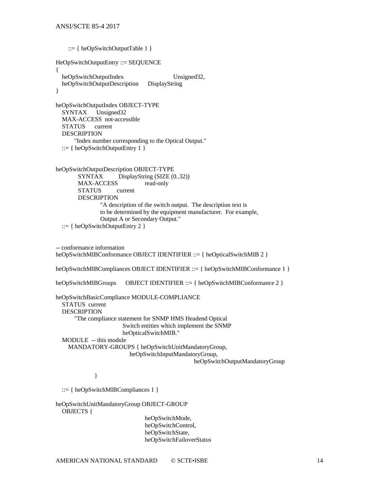```
::= \{heOpSwitchOutputTable 1\}HeOpSwitchOutputEntry ::= SEQUENCE
{
  heOpSwitchOutputIndex Unsigned32,
   heOpSwitchOutputDescription DisplayString 
}
heOpSwitchOutputIndex OBJECT-TYPE
   SYNTAX Unsigned32
   MAX-ACCESS not-accessible
   STATUS current
   DESCRIPTION
       "Index number corresponding to the Optical Output."
  ::= \{heOpSwitchOutputEntry 1\}heOpSwitchOutputDescription OBJECT-TYPE
       SYNTAX DisplayString (SIZE (0..32))
       MAX-ACCESS read-only
       STATUS current
       DESCRIPTION
               "A description of the switch output. The description text is 
              to be determined by the equipment manufacturer. For example, 
              Output A or Secondary Output."
  ::= { heOpSwitchOutputEntry 2 }
-- conformance information
heOpSwitchMIBConformance OBJECT IDENTIFIER ::= { heOpticalSwitchMIB 2 }
heOpSwitchMIBCompliances OBJECT IDENTIFIER ::= { heOpSwitchMIBConformance 1 }
heOpSwitchMIBGroups OBJECT IDENTIFIER ::= { heOpSwitchMIBConformance 2 }
heOpSwitchBasicCompliance MODULE-COMPLIANCE
   STATUS current
   DESCRIPTION
       "The compliance statement for SNMP HMS Headend Optical 
                      Switch entities which implement the SNMP 
                      heOpticalSwitchMIB."
   MODULE -- this module
     MANDATORY-GROUPS { heOpSwitchUnitMandatoryGroup,
                         heOpSwitchInputMandatoryGroup,
                                               heOpSwitchOutputMandatoryGroup
 }
   ::= { heOpSwitchMIBCompliances 1 }
heOpSwitchUnitMandatoryGroup OBJECT-GROUP
   OBJECTS { 
                             heOpSwitchMode,
```
heOpSwitchControl, heOpSwitchState, heOpSwitchFailoverStatus